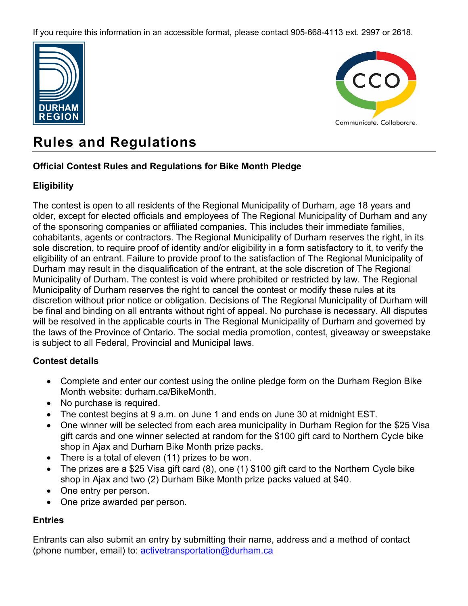If you require this information in an accessible format, please contact 905-668-4113 ext. 2997 or 2618.





# **Rules and Regulations**

### **Official Contest Rules and Regulations for Bike Month Pledge**

## **Eligibility**

The contest is open to all residents of the Regional Municipality of Durham, age 18 years and older, except for elected officials and employees of The Regional Municipality of Durham and any of the sponsoring companies or affiliated companies. This includes their immediate families, cohabitants, agents or contractors. The Regional Municipality of Durham reserves the right, in its sole discretion, to require proof of identity and/or eligibility in a form satisfactory to it, to verify the eligibility of an entrant. Failure to provide proof to the satisfaction of The Regional Municipality of Durham may result in the disqualification of the entrant, at the sole discretion of The Regional Municipality of Durham. The contest is void where prohibited or restricted by law. The Regional Municipality of Durham reserves the right to cancel the contest or modify these rules at its discretion without prior notice or obligation. Decisions of The Regional Municipality of Durham will be final and binding on all entrants without right of appeal. No purchase is necessary. All disputes will be resolved in the applicable courts in The Regional Municipality of Durham and governed by the laws of the Province of Ontario. The social media promotion, contest, giveaway or sweepstake is subject to all Federal, Provincial and Municipal laws.

#### **Contest details**

- Complete and enter our contest using the online pledge form on the Durham Region Bike Month website: durham.ca/BikeMonth.
- No purchase is required.
- The contest begins at 9 a.m. on June 1 and ends on June 30 at midnight EST.
- One winner will be selected from each area municipality in Durham Region for the \$25 Visa gift cards and one winner selected at random for the \$100 gift card to Northern Cycle bike shop in Ajax and Durham Bike Month prize packs.
- There is a total of eleven (11) prizes to be won.
- The prizes are a \$25 Visa gift card (8), one (1) \$100 gift card to the Northern Cycle bike shop in Ajax and two (2) Durham Bike Month prize packs valued at \$40.
- One entry per person.
- One prize awarded per person.

#### **Entries**

Entrants can also submit an entry by submitting their name, address and a method of contact (phone number, email) to: [activetransportation@durham.ca](mailto:activetransportation@durham.ca)